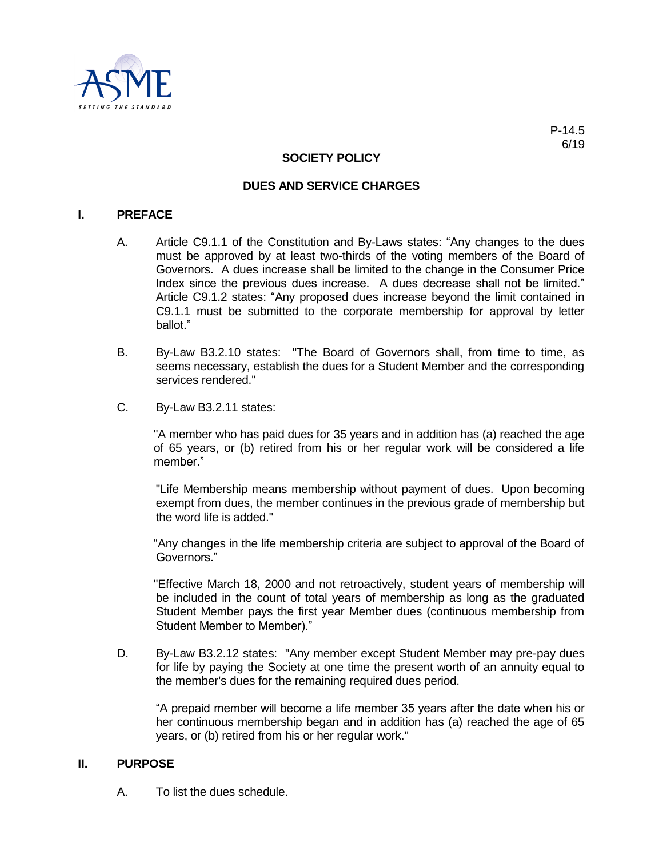

# **SOCIETY POLICY**

### **DUES AND SERVICE CHARGES**

### **I. PREFACE**

- A. Article C9.1.1 of the Constitution and By-Laws states: "Any changes to the dues must be approved by at least two-thirds of the voting members of the Board of Governors. A dues increase shall be limited to the change in the Consumer Price Index since the previous dues increase. A dues decrease shall not be limited." Article C9.1.2 states: "Any proposed dues increase beyond the limit contained in C9.1.1 must be submitted to the corporate membership for approval by letter ballot."
- B. By-Law B3.2.10 states: "The Board of Governors shall, from time to time, as seems necessary, establish the dues for a Student Member and the corresponding services rendered."
- C. By-Law B3.2.11 states:

"A member who has paid dues for 35 years and in addition has (a) reached the age of 65 years, or (b) retired from his or her regular work will be considered a life member."

"Life Membership means membership without payment of dues. Upon becoming exempt from dues, the member continues in the previous grade of membership but the word life is added."

"Any changes in the life membership criteria are subject to approval of the Board of Governors."

"Effective March 18, 2000 and not retroactively, student years of membership will be included in the count of total years of membership as long as the graduated Student Member pays the first year Member dues (continuous membership from Student Member to Member)."

D. By-Law B3.2.12 states: "Any member except Student Member may pre-pay dues for life by paying the Society at one time the present worth of an annuity equal to the member's dues for the remaining required dues period.

"A prepaid member will become a life member 35 years after the date when his or her continuous membership began and in addition has (a) reached the age of 65 years, or (b) retired from his or her regular work."

# **II. PURPOSE**

A. To list the dues schedule.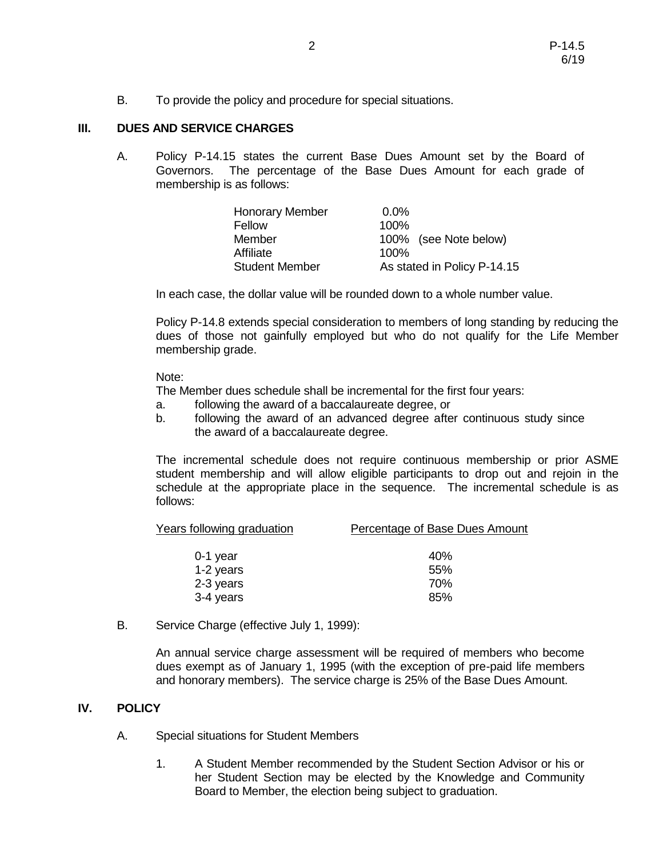B. To provide the policy and procedure for special situations.

## **III. DUES AND SERVICE CHARGES**

A. Policy P-14.15 states the current Base Dues Amount set by the Board of Governors. The percentage of the Base Dues Amount for each grade of membership is as follows:

| <b>Honorary Member</b> | $0.0\%$                     |
|------------------------|-----------------------------|
| Fellow                 | $100\%$                     |
| Member                 | 100% (see Note below)       |
| Affiliate              | 100%                        |
| <b>Student Member</b>  | As stated in Policy P-14.15 |

In each case, the dollar value will be rounded down to a whole number value.

Policy P-14.8 extends special consideration to members of long standing by reducing the dues of those not gainfully employed but who do not qualify for the Life Member membership grade.

#### Note:

The Member dues schedule shall be incremental for the first four years:

- a. following the award of a baccalaureate degree, or
- b. following the award of an advanced degree after continuous study since the award of a baccalaureate degree.

The incremental schedule does not require continuous membership or prior ASME student membership and will allow eligible participants to drop out and rejoin in the schedule at the appropriate place in the sequence. The incremental schedule is as follows:

| <b>Years following graduation</b> | Percentage of Base Dues Amount |
|-----------------------------------|--------------------------------|
| $0-1$ year                        | 40%                            |
| 1-2 years                         | 55%                            |
| 2-3 years                         | 70%                            |
| 3-4 years                         | 85%                            |

B. Service Charge (effective July 1, 1999):

An annual service charge assessment will be required of members who become dues exempt as of January 1, 1995 (with the exception of pre-paid life members and honorary members). The service charge is 25% of the Base Dues Amount.

#### **IV. POLICY**

- A. Special situations for Student Members
	- 1. A Student Member recommended by the Student Section Advisor or his or her Student Section may be elected by the Knowledge and Community Board to Member, the election being subject to graduation.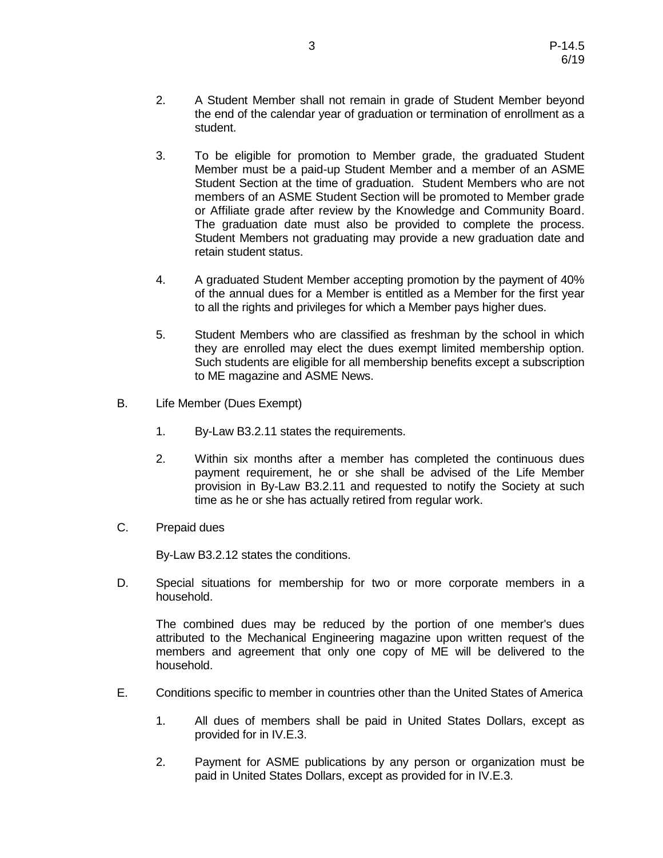- 2. A Student Member shall not remain in grade of Student Member beyond the end of the calendar year of graduation or termination of enrollment as a student.
- 3. To be eligible for promotion to Member grade, the graduated Student Member must be a paid-up Student Member and a member of an ASME Student Section at the time of graduation. Student Members who are not members of an ASME Student Section will be promoted to Member grade or Affiliate grade after review by the Knowledge and Community Board. The graduation date must also be provided to complete the process. Student Members not graduating may provide a new graduation date and retain student status.
- 4. A graduated Student Member accepting promotion by the payment of 40% of the annual dues for a Member is entitled as a Member for the first year to all the rights and privileges for which a Member pays higher dues.
- 5. Student Members who are classified as freshman by the school in which they are enrolled may elect the dues exempt limited membership option. Such students are eligible for all membership benefits except a subscription to ME magazine and ASME News.
- B. Life Member (Dues Exempt)
	- 1. By-Law B3.2.11 states the requirements.
	- 2. Within six months after a member has completed the continuous dues payment requirement, he or she shall be advised of the Life Member provision in By-Law B3.2.11 and requested to notify the Society at such time as he or she has actually retired from regular work.
- C. Prepaid dues

By-Law B3.2.12 states the conditions.

D. Special situations for membership for two or more corporate members in a household.

The combined dues may be reduced by the portion of one member's dues attributed to the Mechanical Engineering magazine upon written request of the members and agreement that only one copy of ME will be delivered to the household.

- E. Conditions specific to member in countries other than the United States of America
	- 1. All dues of members shall be paid in United States Dollars, except as provided for in IV.E.3.
	- 2. Payment for ASME publications by any person or organization must be paid in United States Dollars, except as provided for in IV.E.3.